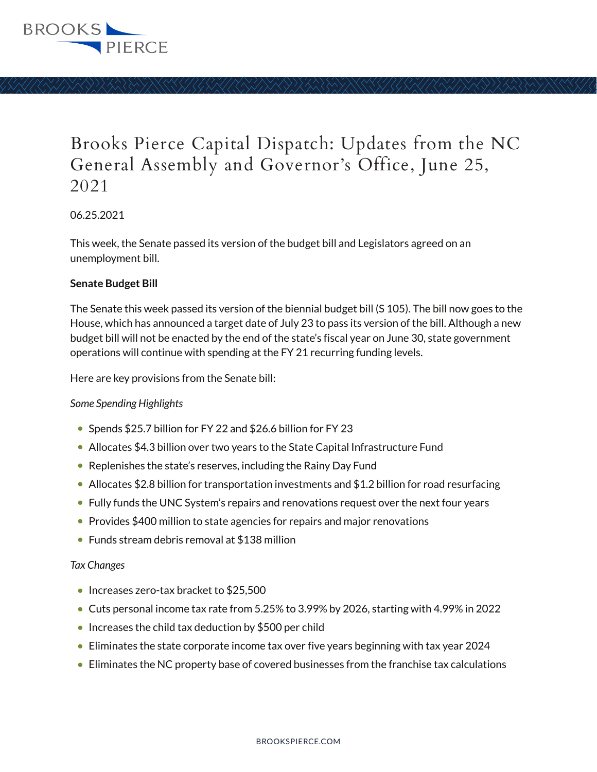

# Brooks Pierce Capital Dispatch: Updates from the NC General Assembly and Governor's Office, June 25, 2021

06.25.2021

This week, the Senate passed its version of the budget bill and Legislators agreed on an unemployment bill.

## **Senate Budget Bill**

The Senate this week passed its version of the biennial budget bill (S 105). The bill now goes to the House, which has announced a target date of July 23 to pass its version of the bill. Although a new budget bill will not be enacted by the end of the state's fiscal year on June 30, state government operations will continue with spending at the FY 21 recurring funding levels.

Here are key provisions from the Senate bill:

## *Some Spending Highlights*

- Spends \$25.7 billion for FY 22 and \$26.6 billion for FY 23
- Allocates \$4.3 billion over two years to the State Capital Infrastructure Fund
- Replenishes the state's reserves, including the Rainy Day Fund
- Allocates \$2.8 billion for transportation investments and \$1.2 billion for road resurfacing
- Fully funds the UNC System's repairs and renovations request over the next four years
- Provides \$400 million to state agencies for repairs and major renovations
- Funds stream debris removal at \$138 million

### *Tax Changes*

- Increases zero-tax bracket to \$25,500
- Cuts personal income tax rate from 5.25% to 3.99% by 2026, starting with 4.99% in 2022
- Increases the child tax deduction by \$500 per child
- Eliminates the state corporate income tax over five years beginning with tax year 2024
- Eliminates the NC property base of covered businesses from the franchise tax calculations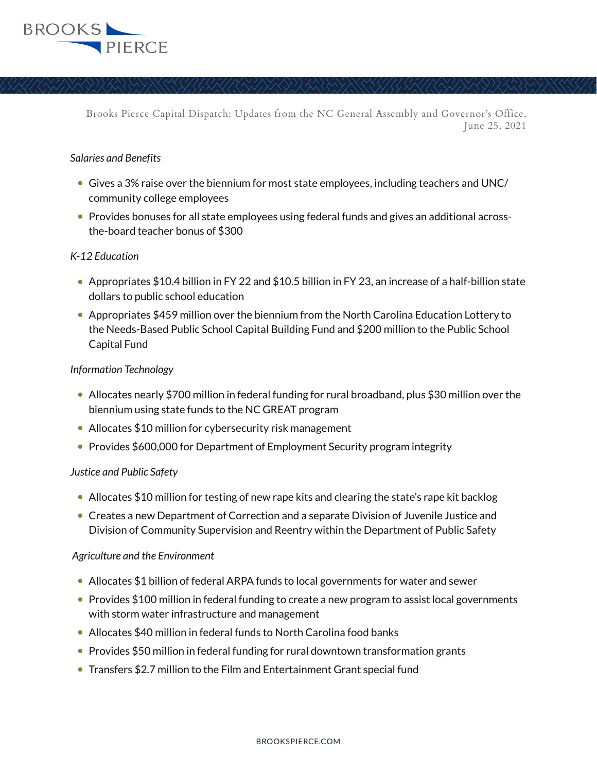

Brooks Pierce Capital Dispatch: Updates from the NC General Assembly and Governor's Office, June 25, 2021

### *Salaries and Benefits*

- Gives a 3% raise over the biennium for most state employees, including teachers and UNC/ community college employees
- Provides bonuses for all state employees using federal funds and gives an additional acrossthe-board teacher bonus of \$300

### *K-12 Education*

- Appropriates \$10.4 billion in FY 22 and \$10.5 billion in FY 23, an increase of a half-billion state dollars to public school education
- Appropriates \$459 million over the biennium from the North Carolina Education Lottery to the Needs-Based Public School Capital Building Fund and \$200 million to the Public School Capital Fund

### *Information Technology*

- Allocates nearly \$700 million in federal funding for rural broadband, plus \$30 million over the biennium using state funds to the NC GREAT program
- Allocates \$10 million for cybersecurity risk management
- Provides \$600,000 for Department of Employment Security program integrity

### *Justice and Public Safety*

- Allocates \$10 million for testing of new rape kits and clearing the state's rape kit backlog
- Creates a new Department of Correction and a separate Division of Juvenile Justice and Division of Community Supervision and Reentry within the Department of Public Safety

### *Agriculture and the Environment*

- Allocates \$1 billion of federal ARPA funds to local governments for water and sewer
- Provides \$100 million in federal funding to create a new program to assist local governments with storm water infrastructure and management
- Allocates \$40 million in federal funds to North Carolina food banks
- Provides \$50 million in federal funding for rural downtown transformation grants
- Transfers \$2.7 million to the Film and Entertainment Grant special fund